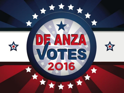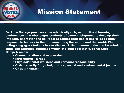

# Mission Statement

De Anza College provides an academically rich, multicultural learning environment that challenges students of every background to develop their intellect, character and abilities; to realize their goals; and to be socially responsible leaders in their communities, the nation and the world. The college engages students in creative work that demonstrates the knowledge, skills and attitudes contained within the college's Institutional Core Competencies:

- Communication and expression
- Information literacy
- Physical/mental wellness and personal responsibility
- Civic capacity for global, cultural, social and environmental justice
- Critical thinking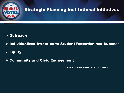

# Strategic Planning Institutional Initiatives

### **≻ Outreach**

 $\triangleright$  Individualized Attention to Student Retention and Success

## $\overline{\triangleright}$  Equity

#### $\triangleright$  Community and Civic Engagement

- Educational Master Plan, 2015-2020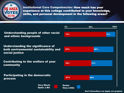

Institutional Core Competencies: How much has your experience at this college contributed to your knowledge, skills, and personal development in the following areas?

Understanding people of other racial and ethnic backgrounds

Understanding the significance of both environmental sustainability and social justice

Contributing to the welfare of your  $\frac{1}{50\%}$ community

Participating in the democratic process

> Very Much/ Quite a Bit



Don't Know/Does not Apply not graphed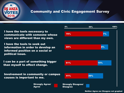

#### Community and Civic Engagement Survey

I have the tools necessary to communicate with someone whose views are different than my own.

I have the tools to seek out information in order to develop an informed position on a social or political issue.

**I can be a part of something bigger I** 61% than myself to effect change.

Involvement in community or campus The causes is important to me.

> Strongly Agree/ Agree

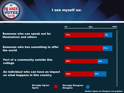

#### I see myself as:

Someone who can speak out for themselves and others

Someone who has something to offer the world

Part of a community outside this college

An individual who can have an impact on what happens in this country

> Strongly Agree/ Agree

 $\,$  0%  $\,$  50%  $\,$  50%  $\,$  100%  $\,$ 60% 52% Strongly Disagree/ **Disagree** 14% 17% 75% 11% <mark>11% 11% 11% 11% 11% 11% 11%</mark> 77% 77% 77% 77% 77% 77%

Neither Agree nor Disagree not graphed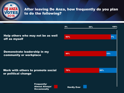

#### After leaving De Anza, how frequently do you plan to do the following?

Help others who may not be as well off as myself

Demonstrate leadership in my community or workplace

Work with others to promote social or political change

> Frequently/ Almost Always/ **Occasionally**

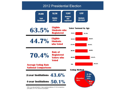

Public Associate and Bachelor's degree granting institutions, 59/728 AA institutions participated, 12/135 BA institutions participated.